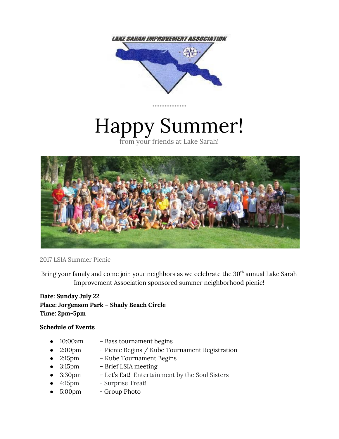

# Happy Summer!

from your friends at Lake Sarah!



2017 LSIA Summer Picnic

Bring your family and come join your neighbors as we celebrate the 30<sup>th</sup> annual Lake Sarah Improvement Association sponsored summer neighborhood picnic!

**Date: Sunday July 22 Place: Jorgenson Park – Shady Beach Circle Time: 2pm-5pm**

### **Schedule of Events**

- 10:00am Bass tournament begins
- 2:00pm Picnic Begins / Kube Tournament Registration
- 2:15pm Kube Tournament Begins
- 3:15pm Brief LSIA meeting
- 3:30pm Let's Eat! Entertainment by the Soul Sisters
- 4:15pm Surprise Treat!
- 5:00pm Group Photo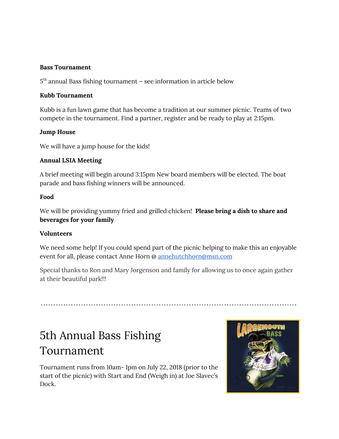### **Bass Tournament**

5 th annual Bass fishing tournament – see information in article below

### **Kubb Tournament**

Kubb is a fun lawn game that has become a tradition at our summer picnic. Teams of two compete in the tournament. Find a partner, register and be ready to play at 2:15pm.

### **Jump House**

We will have a jump house for the kids!

### **Annual LSIA Meeting**

A brief meeting will begin around 3:15pm New board members will be elected. The boat parade and bass fishing winners will be announced.

### **Food**

We will be providing yummy fried and grilled chicken! **Please bring a dish to share and beverages for your family**

### **Volunteers**

We need some help! If you could spend part of the picnic helping to make this an enjoyable event for all, please contact Anne Horn @ [annehutchhorn@msn.com](mailto:annehutchhorn@msn.com)

Special thanks to Ron and Mary Jorgenson and family for allowing us to once again gather at their beautiful park!!!

# 5th Annual Bass Fishing Tournament

Tournament runs from 10am- 1pm on July 22, 2018 (prior to the start of the picnic) with Start and End (Weigh in) at Joe Slavec's Dock.

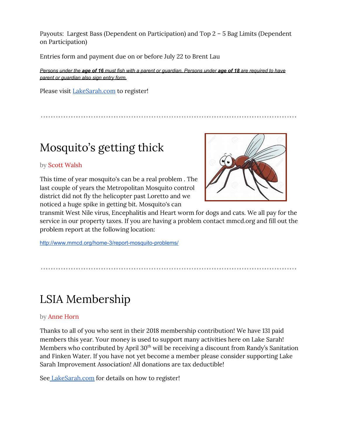Payouts: Largest Bass (Dependent on Participation) and Top 2 – 5 Bag Limits (Dependent on Participation)

Entries form and payment due on or before July 22 to Brent Lau

*Persons under the age of 16 must fish with a parent or guardian. Persons under age of 18 are required to have parent or guardian also sign entry form.*

Please visit [LakeSarah.com](http://www.lakesarah.com/) to register!

# Mosquito's getting thick

### by Scott Walsh

This time of year mosquito's can be a real problem . The last couple of years the Metropolitan Mosquito control district did not fly the helicopter past Loretto and we noticed a huge spike in getting bit. Mosquito's can



transmit West Nile virus, Encephalitis and Heart worm for dogs and cats. We all pay for the service in our property taxes. If you are having a problem contact mmcd.org and fill out the problem report at the following location:

<http://www.mmcd.org/home-3/report-mosquito-problems/>

# LSIA Membership

### by Anne Horn

Thanks to all of you who sent in their 2018 membership contribution! We have 131 paid members this year. Your money is used to support many activities here on Lake Sarah! Members who contributed by April  $30<sup>th</sup>$  will be receiving a discount from Randy's Sanitation and Finken Water. If you have not yet become a member please consider supporting Lake Sarah Improvement Association! All donations are tax deductible!

See [LakeSarah.com](http://www.lakesarah.com/) for details on how to register!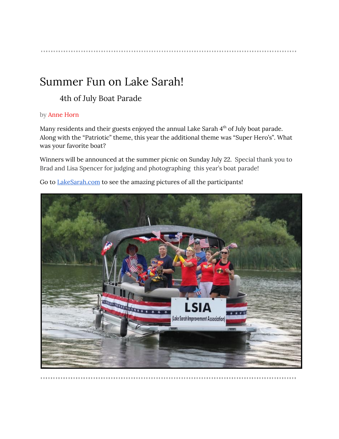# Summer Fun on Lake Sarah!

### 4th of July Boat Parade

### by Anne Horn

Many residents and their guests enjoyed the annual Lake Sarah 4<sup>th</sup> of July boat parade. Along with the "Patriotic" theme, this year the additional theme was "Super Hero's". What was your favorite boat?

Winners will be announced at the summer picnic on Sunday July 22. Special thank you to Brad and Lisa Spencer for judging and photographing this year's boat parade!

Go to [LakeSarah.com](http://www.lakesarah.com/) to see the amazing pictures of all the participants!

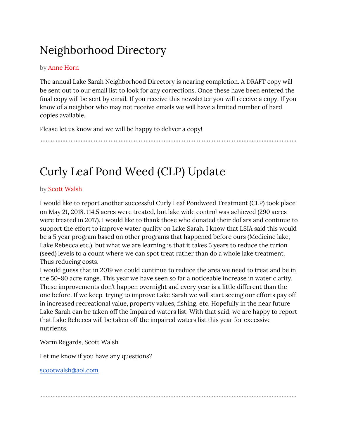# Neighborhood Directory

### by Anne Horn

The annual Lake Sarah Neighborhood Directory is nearing completion. A DRAFT copy will be sent out to our email list to look for any corrections. Once these have been entered the final copy will be sent by email. If you receive this newsletter you will receive a copy. If you know of a neighbor who may not receive emails we will have a limited number of hard copies available.

Please let us know and we will be happy to deliver a copy!

# Curly Leaf Pond Weed (CLP) Update

### by Scott Walsh

I would like to report another successful Curly Leaf Pondweed Treatment (CLP) took place on May 21, 2018. 114.5 acres were treated, but lake wide control was achieved (290 acres were treated in 2017). I would like to thank those who donated their dollars and continue to support the effort to improve water quality on Lake Sarah. I know that LSIA said this would be a 5 year program based on other programs that happened before ours (Medicine lake, Lake Rebecca etc.), but what we are learning is that it takes 5 years to reduce the turion (seed) levels to a count where we can spot treat rather than do a whole lake treatment. Thus reducing costs.

I would guess that in 2019 we could continue to reduce the area we need to treat and be in the 50-80 acre range. This year we have seen so far a noticeable increase in water clarity. These improvements don't happen overnight and every year is a little different than the one before. If we keep trying to improve Lake Sarah we will start seeing our efforts pay off in increased recreational value, property values, fishing, etc. Hopefully in the near future Lake Sarah can be taken off the Impaired waters list. With that said, we are happy to report that Lake Rebecca will be taken off the impaired waters list this year for excessive nutrients.

Warm Regards, Scott Walsh

Let me know if you have any questions?

[scootwalsh@aol.com](mailto:scootwalsh@aol.com)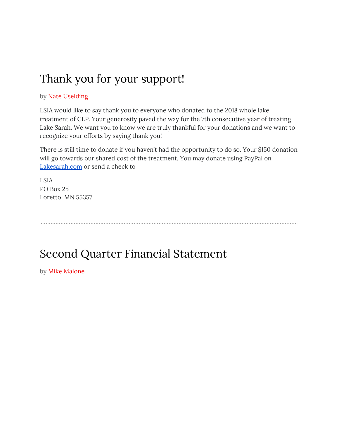# Thank you for your support!

### by Nate Uselding

LSIA would like to say thank you to everyone who donated to the 2018 whole lake treatment of CLP. Your generosity paved the way for the 7th consecutive year of treating Lake Sarah. We want you to know we are truly thankful for your donations and we want to recognize your efforts by saying thank you!

There is still time to donate if you haven't had the opportunity to do so. Your \$150 donation will go towards our shared cost of the treatment. You may donate using PayPal on [Lakesarah.com](http://www.lakesarah.com/) or send a check to

LSIA PO Box 25 Loretto, MN 55357

# Second Quarter Financial Statement

by Mike Malone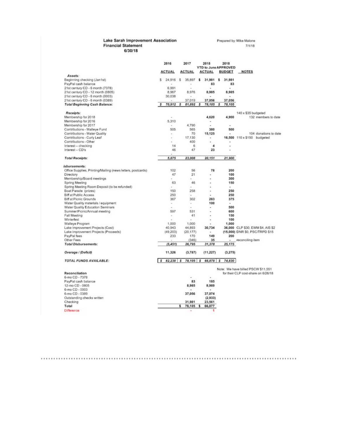#### Lake Sarah Improvement Association **Financial Statement**  $6/30/18$

Prepared by: Mike Malone 7/1/18

|                                                                                                           | 2016<br><b>ACTUAL</b> |                          |    | 2017<br><b>ACTUAL</b>          |    | 2018<br>2018<br><b>YTD to June APPROVED</b> |   |                 |                                                                           |
|-----------------------------------------------------------------------------------------------------------|-----------------------|--------------------------|----|--------------------------------|----|---------------------------------------------|---|-----------------|---------------------------------------------------------------------------|
|                                                                                                           |                       |                          |    |                                |    | <b>ACTUAL</b><br><b>BUDGET</b>              |   |                 | <b>NOTES</b>                                                              |
| Assets:<br>Beginning checking (Jan1st)<br>PayPal cash balance                                             | \$                    | 24,916                   | s  | 35,897<br>$\scriptstyle\rm II$ | \$ | 31,981<br>83                                | s | 31,981<br>83    |                                                                           |
| 21st century CD - 6 month (7378)<br>21st century CD - 12 month (0805)<br>21st century CD - 6 month (0003) |                       | 6.991<br>8,967<br>30,038 |    | 8,976                          |    | 8,985<br>$\overline{a}$                     |   | ۰<br>8,985<br>٠ |                                                                           |
| 21st century CD - 6 month (0389)                                                                          |                       |                          |    | 37,019                         |    | 37,056                                      |   | 37,056          |                                                                           |
| <b>Total Beginning Cash Balance:</b>                                                                      | s                     | 70,912                   | s  | 81,892                         | \$ | 78,105                                      | s | 78,105          |                                                                           |
|                                                                                                           |                       |                          |    |                                |    |                                             |   |                 |                                                                           |
| Receipts:<br>Membership for 2018                                                                          |                       | $\alpha$                 |    |                                |    | 4,620                                       |   | 4,900           | 140 x \$35 budgeted<br>132 members to date                                |
| Membership for 2016                                                                                       |                       | 5,310                    |    |                                |    |                                             |   |                 |                                                                           |
|                                                                                                           |                       |                          |    |                                |    | ٠<br>٠                                      |   |                 |                                                                           |
| Membership for 2017                                                                                       |                       | $\overline{\phantom{a}}$ |    | 4,790                          |    |                                             |   | ٠<br>500        |                                                                           |
| Contributions - Walleye Fund                                                                              |                       | 505                      |    | 565                            |    | 380                                         |   |                 |                                                                           |
| Contributions - Water Quality                                                                             |                       | $\overline{a}$           |    | 70                             |    | 15,125                                      |   | ٠               | 104 donations to date                                                     |
| Contributions - Curly Leaf                                                                                |                       | ÷                        |    | 17.130                         |    |                                             |   |                 | 16,500 110 x \$150 budgeted                                               |
| Contributions - Other                                                                                     |                       | ٠                        |    | 400                            |    | $\overline{a}$                              |   | ٠               |                                                                           |
| Interest -- checking                                                                                      |                       | 14                       |    | 6                              |    | 4                                           |   | ٠               |                                                                           |
| Interest - CD's                                                                                           |                       | 46                       |    | 47                             |    | 23                                          |   |                 |                                                                           |
| <b>Total Receipts:</b>                                                                                    |                       | 5,875                    |    | 23,008                         |    | 20,151                                      |   | 21,900          |                                                                           |
| isbursements:                                                                                             |                       |                          |    |                                |    |                                             |   |                 |                                                                           |
| Office Supplies, Printing/Mailing (news letters, postcards)                                               |                       | 102                      |    | 56                             |    | 78                                          |   | 200             |                                                                           |
| Directory                                                                                                 |                       | 47                       |    | 21                             |    | ٠                                           |   | 100             |                                                                           |
| Membership/Board meetings                                                                                 |                       | ÷                        |    |                                |    | ٠                                           |   | 300             |                                                                           |
| Spring Meeting                                                                                            |                       | 63                       |    | 46                             |    |                                             |   | 150             |                                                                           |
| Spring Meeting Room Deposit (to be refunded)                                                              |                       |                          |    |                                |    |                                             |   |                 |                                                                           |
| Boat Parade (prizes)                                                                                      |                       | 150                      |    | 258                            |    |                                             |   | 250             |                                                                           |
| Biff at Public Access                                                                                     |                       | 250                      |    | $\overline{a}$                 |    |                                             |   | 250             |                                                                           |
| Biff at Picnic Grounds                                                                                    |                       | 367                      |    | 302                            |    | 283                                         |   | 375             |                                                                           |
| Water Quality materials / equipment                                                                       |                       | ۰                        |    | ٠                              |    | 100                                         |   | ۰               |                                                                           |
| Water Quality Education Seminars                                                                          |                       | ٠                        |    | i.                             |    |                                             |   | 500             |                                                                           |
| Summer Picnic/Annual meeting                                                                              |                       | 597                      |    | 531                            |    |                                             |   | 600             |                                                                           |
| Fall Meeting                                                                                              |                       | ٠                        |    | 41                             |    | ٠                                           |   | 150             |                                                                           |
| Winterfest                                                                                                |                       |                          |    |                                |    | ٠                                           |   | 100             |                                                                           |
| Walleye Program                                                                                           |                       | 1,000                    |    | 1.000                          |    |                                             |   | 1,000           |                                                                           |
| Lake Improvement Projects (Cost)                                                                          |                       | 40,943                   |    | 44,893                         |    | 30,734                                      |   |                 | 36,000 CLP \$30, EWM \$4, AIS \$2                                         |
| Lake improvement Projects (Proceeds)                                                                      |                       | (49.203)                 |    | (20.177)                       |    | $\alpha$                                    |   |                 | (15,000) DNR \$0, PSC/TRPD \$15                                           |
| PayPal fees                                                                                               |                       | 233                      |    | 170                            |    | 149                                         |   | 200             |                                                                           |
| Other Fees                                                                                                |                       |                          |    | (346)                          |    | 35                                          |   | $\sim$          | reconciling item                                                          |
| <b>Total Disbursements:</b>                                                                               |                       | (5, 451)                 |    | 26,795                         |    | 31,378                                      |   | 25,175          |                                                                           |
| Overage / (Deficit)                                                                                       |                       | 11,326                   |    | (3,787)                        |    | (11, 227)                                   |   | (3, 275)        |                                                                           |
| <b>TOTAL FUNDS AVAILABLE:</b>                                                                             | s                     | 82,238                   | s  | 78,105                         | s  | 66,878                                      | s | 74,830          |                                                                           |
|                                                                                                           |                       |                          |    |                                |    |                                             |   |                 |                                                                           |
| Reconciliation                                                                                            |                       |                          |    |                                |    |                                             |   |                 | Note: We have billed PSCW \$11,551<br>for their CLP cost-share on 6/26/18 |
| 6-mo CD - 7378                                                                                            |                       |                          |    | ٠                              |    | ٠                                           |   |                 |                                                                           |
| PayPal cash balance                                                                                       |                       |                          |    | 83                             |    | 185                                         |   |                 |                                                                           |
| 12-mo CD - 0805                                                                                           |                       |                          |    |                                |    | 8.989                                       |   |                 |                                                                           |
| 6-mo CD - 0003                                                                                            |                       |                          |    | 8,985                          |    |                                             |   |                 |                                                                           |
| 6-mo CD - 0389                                                                                            |                       |                          |    |                                |    | 37,074                                      |   |                 |                                                                           |
|                                                                                                           |                       |                          |    | 37,056                         |    |                                             |   |                 |                                                                           |
| Outstanding checks written                                                                                |                       |                          |    |                                |    | (2,933)                                     |   |                 |                                                                           |
| Checking                                                                                                  |                       |                          |    | 31,981                         |    | 23,561                                      |   |                 |                                                                           |
| Total                                                                                                     |                       |                          | \$ | 78,105                         | \$ | 66,877                                      |   |                 |                                                                           |
| Difference                                                                                                |                       |                          |    | ä,                             |    | 1                                           |   |                 |                                                                           |